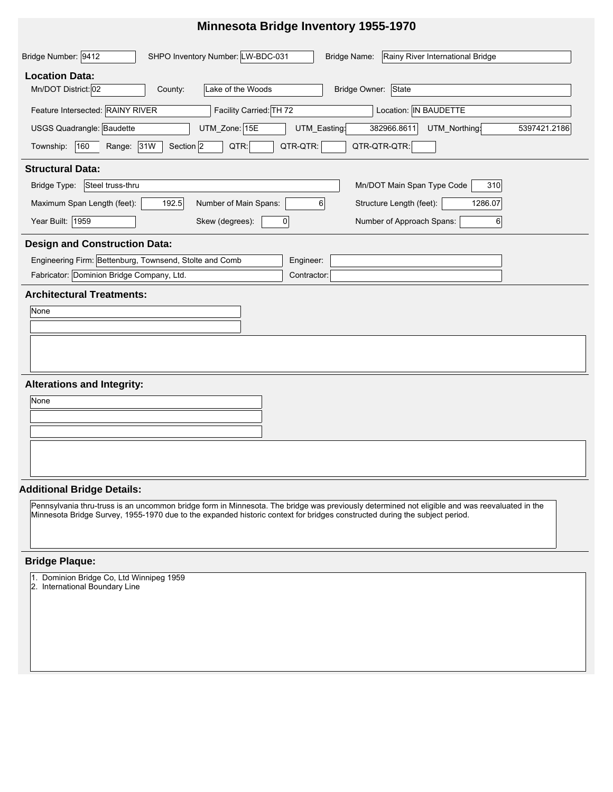## **Minnesota Bridge Inventory 1955-1970**

| SHPO Inventory Number: LW-BDC-031<br>Bridge Number: 9412<br>Rainy River International Bridge<br>Bridge Name: |
|--------------------------------------------------------------------------------------------------------------|
| <b>Location Data:</b>                                                                                        |
| Mn/DOT District: 02<br>Lake of the Woods<br>Bridge Owner:<br>State<br>County:                                |
| Feature Intersected: RAINY RIVER<br>Facility Carried: TH 72<br>Location: IN BAUDETTE                         |
| USGS Quadrangle: Baudette<br>UTM_Zone: 15E<br>382966.8611<br>UTM_Northing<br>UTM_Easting:<br>5397421.2186    |
| Range: 31W<br>Section 2<br>QTR-QTR-QTR:<br>160<br>QTR:<br>QTR-QTR:<br>Township:                              |
| <b>Structural Data:</b>                                                                                      |
| Mn/DOT Main Span Type Code<br>Bridge Type:<br>Steel truss-thru<br>310                                        |
| Maximum Span Length (feet):<br>Number of Main Spans:<br>Structure Length (feet):<br>192.5<br>1286.07<br>6    |
| Year Built: 1959<br>Number of Approach Spans:<br>Skew (degrees):<br>$6 \mid$<br>$\mathbf 0$                  |
| <b>Design and Construction Data:</b>                                                                         |
| Engineering Firm: Bettenburg, Townsend, Stolte and Comb<br>Engineer:                                         |
| Fabricator: Dominion Bridge Company, Ltd.<br>Contractor:                                                     |
| <b>Architectural Treatments:</b>                                                                             |
| None                                                                                                         |
|                                                                                                              |
|                                                                                                              |
|                                                                                                              |
| <b>Alterations and Integrity:</b>                                                                            |
| None                                                                                                         |
|                                                                                                              |
|                                                                                                              |

#### **Additional Bridge Details:**

Pennsylvania thru-truss is an uncommon bridge form in Minnesota. The bridge was previously determined not eligible and was reevaluated in the Minnesota Bridge Survey, 1955-1970 due to the expanded historic context for bridges constructed during the subject period.

#### **Bridge Plaque:**

- 1. Dominion Bridge Co, Ltd Winnipeg 1959
- 2. International Boundary Line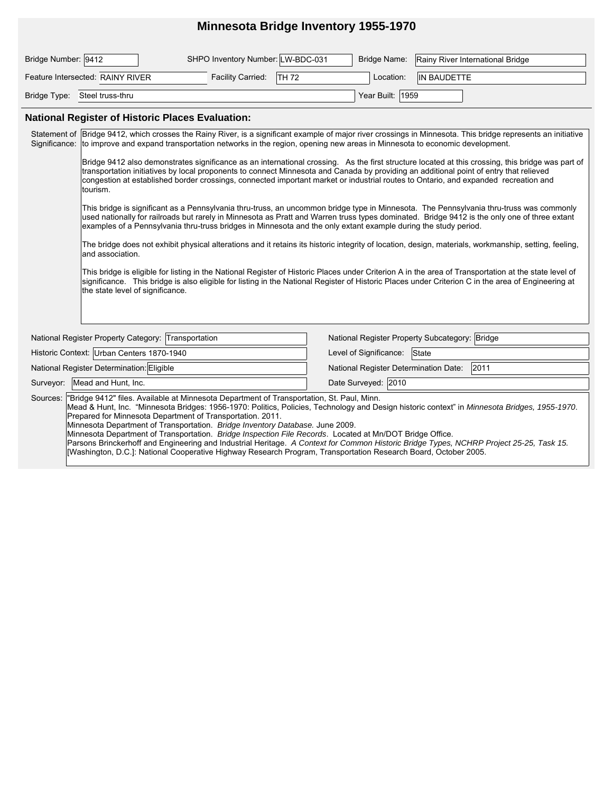### **Minnesota Bridge Inventory 1955-1970**

| Bridge Number:  9412             | SHPO Inventory Number: LW-BDC-031         |                  | Bridge Name: Rainy River International Bridge |
|----------------------------------|-------------------------------------------|------------------|-----------------------------------------------|
| Feature Intersected: RAINY RIVER | <b>ITH 72</b><br><b>Facility Carried:</b> | Location:        | IN BAUDETTE                                   |
| Bridge Type: Steel truss-thru    |                                           | Year Built: 1959 |                                               |

#### **National Register of Historic Places Evaluation:**

Surveyor: Mead and Hunt, Inc. Date Surveyed: 2010 National Register Determination Date: 2011 National Register Property Category: Transportation National Register Property Subcategory: Bridge Historic Context: Urban Centers 1870-1940 Level of Significance: State Sources: "Bridge 9412" files. Available at Minnesota Department of Transportation, St. Paul, Minn. Mead & Hunt, Inc. "Minnesota Bridges: 1956-1970: Politics, Policies, Technology and Design historic context" in *Minnesota Bridges, 1955-1970*. Prepared for Minnesota Department of Transportation. 2011. Minnesota Department of Transportation. *Bridge Inventory Database.* June 2009. Minnesota Department of Transportation. *Bridge Inspection File Records*. Located at Mn/DOT Bridge Office. Parsons Brinckerhoff and Engineering and Industrial Heritage. *A Context for Common Historic Bridge Types, NCHRP Project 25-25, Task 15.*  [Washington, D.C.]: National Cooperative Highway Research Program, Transportation Research Board, October 2005. Statement of Significance: Bridge 9412, which crosses the Rainy River, is a significant example of major river crossings in Minnesota. This bridge represents an initiative to improve and expand transportation networks in the region, opening new areas in Minnesota to economic development. Bridge 9412 also demonstrates significance as an international crossing. As the first structure located at this crossing, this bridge was part of transportation initiatives by local proponents to connect Minnesota and Canada by providing an additional point of entry that relieved congestion at established border crossings, connected important market or industrial routes to Ontario, and expanded recreation and tourism. This bridge is significant as a Pennsylvania thru-truss, an uncommon bridge type in Minnesota. The Pennsylvania thru-truss was commonly used nationally for railroads but rarely in Minnesota as Pratt and Warren truss types dominated. Bridge 9412 is the only one of three extant examples of a Pennsylvania thru-truss bridges in Minnesota and the only extant example during the study period. The bridge does not exhibit physical alterations and it retains its historic integrity of location, design, materials, workmanship, setting, feeling, and association. This bridge is eligible for listing in the National Register of Historic Places under Criterion A in the area of Transportation at the state level of significance. This bridge is also eligible for listing in the National Register of Historic Places under Criterion C in the area of Engineering at the state level of significance. National Register Determination: Eligible